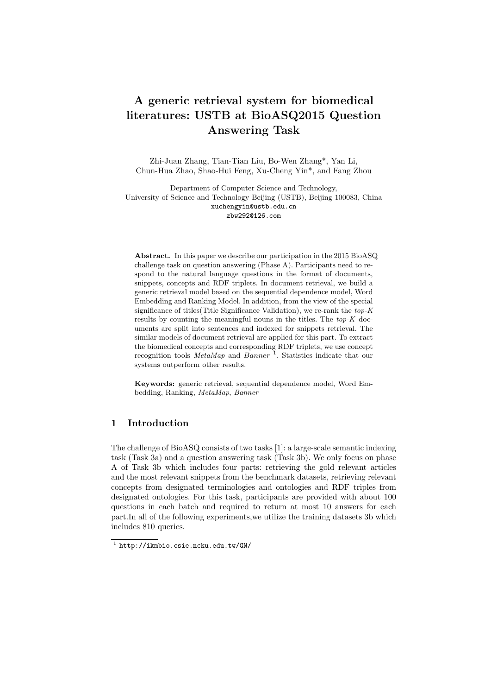# A generic retrieval system for biomedical literatures: USTB at BioASQ2015 Question Answering Task

Zhi-Juan Zhang, Tian-Tian Liu, Bo-Wen Zhang\*, Yan Li, Chun-Hua Zhao, Shao-Hui Feng, Xu-Cheng Yin\*, and Fang Zhou

Department of Computer Science and Technology, University of Science and Technology Beijing (USTB), Beijing 100083, China xuchengyin@ustb.edu.cn zbw292@126.com

Abstract. In this paper we describe our participation in the 2015 BioASQ challenge task on question answering (Phase A). Participants need to respond to the natural language questions in the format of documents, snippets, concepts and RDF triplets. In document retrieval, we build a generic retrieval model based on the sequential dependence model, Word Embedding and Ranking Model. In addition, from the view of the special significance of titles(Title Significance Validation), we re-rank the top-K results by counting the meaningful nouns in the titles. The top-K documents are split into sentences and indexed for snippets retrieval. The similar models of document retrieval are applied for this part. To extract the biomedical concepts and corresponding RDF triplets, we use concept recognition tools *MetaMap* and *Banner*<sup>1</sup>. Statistics indicate that our systems outperform other results.

Keywords: generic retrieval, sequential dependence model, Word Embedding, Ranking, MetaMap, Banner

# 1 Introduction

The challenge of BioASQ consists of two tasks [1]: a large-scale semantic indexing task (Task 3a) and a question answering task (Task 3b). We only focus on phase A of Task 3b which includes four parts: retrieving the gold relevant articles and the most relevant snippets from the benchmark datasets, retrieving relevant concepts from designated terminologies and ontologies and RDF triples from designated ontologies. For this task, participants are provided with about 100 questions in each batch and required to return at most 10 answers for each part.In all of the following experiments,we utilize the training datasets 3b which includes 810 queries.

<sup>1</sup> http://ikmbio.csie.ncku.edu.tw/GN/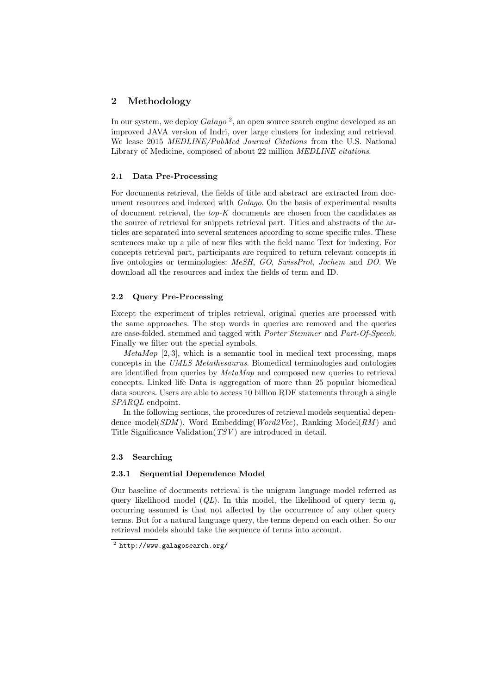# 2 Methodology

In our system, we deploy  $Galago^2$ , an open source search engine developed as an improved JAVA version of Indri, over large clusters for indexing and retrieval. We lease 2015 MEDLINE/PubMed Journal Citations from the U.S. National Library of Medicine, composed of about 22 million MEDLINE citations.

# 2.1 Data Pre-Processing

For documents retrieval, the fields of title and abstract are extracted from document resources and indexed with Galago. On the basis of experimental results of document retrieval, the  $top-K$  documents are chosen from the candidates as the source of retrieval for snippets retrieval part. Titles and abstracts of the articles are separated into several sentences according to some specific rules. These sentences make up a pile of new files with the field name Text for indexing. For concepts retrieval part, participants are required to return relevant concepts in five ontologies or terminologies: MeSH, GO, SwissProt, Jochem and DO. We download all the resources and index the fields of term and ID.

## 2.2 Query Pre-Processing

Except the experiment of triples retrieval, original queries are processed with the same approaches. The stop words in queries are removed and the queries are case-folded, stemmed and tagged with Porter Stemmer and Part-Of-Speech. Finally we filter out the special symbols.

 $MetaMap$  [2, 3], which is a semantic tool in medical text processing, maps concepts in the UMLS Metathesaurus. Biomedical terminologies and ontologies are identified from queries by MetaMap and composed new queries to retrieval concepts. Linked life Data is aggregation of more than 25 popular biomedical data sources. Users are able to access 10 billion RDF statements through a single SPARQL endpoint.

In the following sections, the procedures of retrieval models sequential dependence model( $SDM$ ), Word Embedding( $Word2Vec$ ), Ranking Model( $RM$ ) and Title Significance Validation(*TSV*) are introduced in detail.

#### 2.3 Searching

## 2.3.1 Sequential Dependence Model

Our baseline of documents retrieval is the unigram language model referred as query likelihood model ( $QL$ ). In this model, the likelihood of query term  $q_i$ occurring assumed is that not affected by the occurrence of any other query terms. But for a natural language query, the terms depend on each other. So our retrieval models should take the sequence of terms into account.

 $^2$  http://www.galagosearch.org/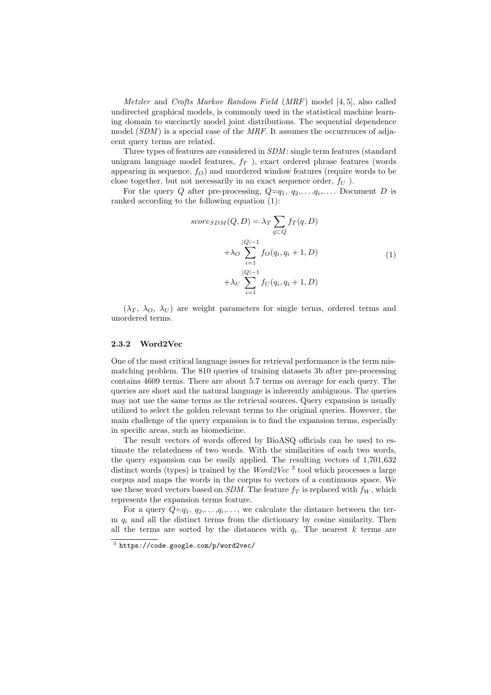Metzler and Crofts Markov Random Field (MRF) model [4, 5], also called undirected graphical models, is commonly used in the statistical machine learning domain to succinctly model joint distributions. The sequential dependence model  $(SDM)$  is a special case of the *MRF*. It assumes the occurrences of adjacent query terms are related.

Three types of features are considered in SDM : single term features (standard unigram language model features,  $f_T$  ), exact ordered phrase features (words appearing in sequence,  $f_O$ ) and unordered window features (require words to be close together, but not necessarily in an exact sequence order,  $f_U$ ).

For the query Q after pre-processing,  $Q=q_1, q_2,..., q_i,...$  Document D is ranked according to the following equation (1):

$$
score_{SDM}(Q, D) = \lambda_T \sum_{q \subset Q} f_T(q, D)
$$
  
 
$$
+ \lambda_O \sum_{i=1}^{|Q|-1} f_O(q_i, q_i + 1, D)
$$
  
 
$$
+ \lambda_U \sum_{i=1}^{|Q|-1} f_U(q_i, q_i + 1, D)
$$
 (1)

 $(\lambda_T, \lambda_O, \lambda_U)$  are weight parameters for single terms, ordered terms and unordered terms.

#### 2.3.2 Word2Vec

One of the most critical language issues for retrieval performance is the term mismatching problem. The 810 queries of training datasets 3b after pre-processing contains 4609 terms. There are about 5.7 terms on average for each query. The queries are short and the natural language is inherently ambiguous. The queries may not use the same terms as the retrieval sources. Query expansion is usually utilized to select the golden relevant terms to the original queries. However, the main challenge of the query expansion is to find the expansion terms, especially in specific areas, such as biomedicine.

The result vectors of words offered by BioASQ officials can be used to estimate the relatedness of two words. With the similarities of each two words, the query expansion can be easily applied. The resulting vectors of 1,701,632 distinct words (types) is trained by the  $Word2Vec$ <sup>3</sup> tool which processes a large corpus and maps the words in the corpus to vectors of a continuous space. We use these word vectors based on SDM. The feature  $f_T$  is replaced with  $f_W$ , which represents the expansion terms feature.

For a query  $Q=q_1, q_2, \ldots, q_i, \ldots$ , we calculate the distance between the term  $q_i$  and all the distinct terms from the dictionary by cosine similarity. Then all the terms are sorted by the distances with  $q_i$ . The nearest k terms are

 $^3$  https://code.google.com/p/word2vec/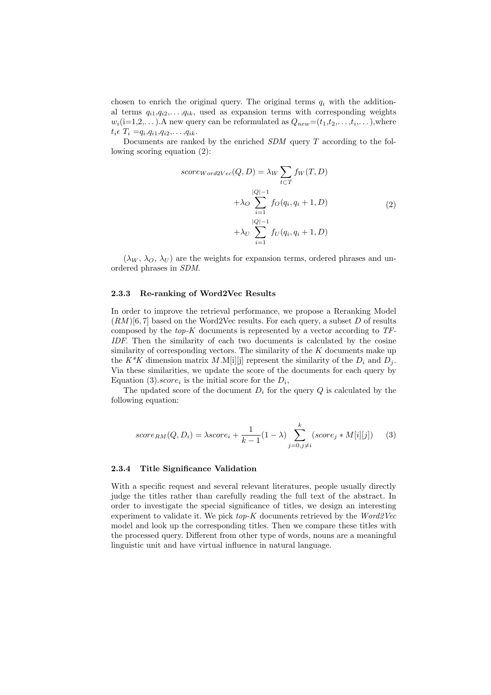chosen to enrich the original query. The original terms  $q_i$  with the additional terms  $q_{i1},q_{i2},\ldots,q_{ik}$ , used as expansion terms with corresponding weights  $w_i$ (i=1,2,...). A new query can be reformulated as  $Q_{new} = (t_1, t_2, \ldots, t_i, \ldots)$ , where  $t_i \epsilon \; T_i = q_i, q_{i1}, q_{i2}, \ldots, q_{ik}.$ 

Documents are ranked by the enriched  $SDM$  query  $T$  according to the following scoring equation (2):

$$
score_{Word2Vec}(Q, D) = \lambda_W \sum_{t \subset T} f_W(T, D)
$$
  
 
$$
+ \lambda_O \sum_{i=1}^{|Q|-1} f_O(q_i, q_i + 1, D)
$$
  
 
$$
+ \lambda_U \sum_{i=1}^{|Q|-1} f_U(q_i, q_i + 1, D)
$$
 (2)

 $(\lambda_W, \lambda_O, \lambda_U)$  are the weights for expansion terms, ordered phrases and unordered phrases in SDM.

#### 2.3.3 Re-ranking of Word2Vec Results

In order to improve the retrieval performance, we propose a Reranking Model  $(RM)[6, 7]$  based on the Word2Vec results. For each query, a subset D of results composed by the  $top-K$  documents is represented by a vector according to  $TF$ -IDF. Then the similarity of each two documents is calculated by the cosine similarity of corresponding vectors. The similarity of the  $K$  documents make up the K<sup>\*</sup>K dimension matrix M.M[i][j] represent the similarity of the  $D_i$  and  $D_j$ . Via these similarities, we update the score of the documents for each query by Equation (3).*score* is the initial score for the  $D_i$ ,

The updated score of the document  $D_i$  for the query  $Q$  is calculated by the following equation:

$$
score_{RM}(Q, D_i) = \lambda score_i + \frac{1}{k-1}(1-\lambda) \sum_{j=0, j\neq i}^{k} (score_j * M[i][j])
$$
 (3)

## 2.3.4 Title Significance Validation

With a specific request and several relevant literatures, people usually directly judge the titles rather than carefully reading the full text of the abstract. In order to investigate the special significance of titles, we design an interesting experiment to validate it. We pick  $top-K$  documents retrieved by the  $Word2Vec$ model and look up the corresponding titles. Then we compare these titles with the processed query. Different from other type of words, nouns are a meaningful linguistic unit and have virtual influence in natural language.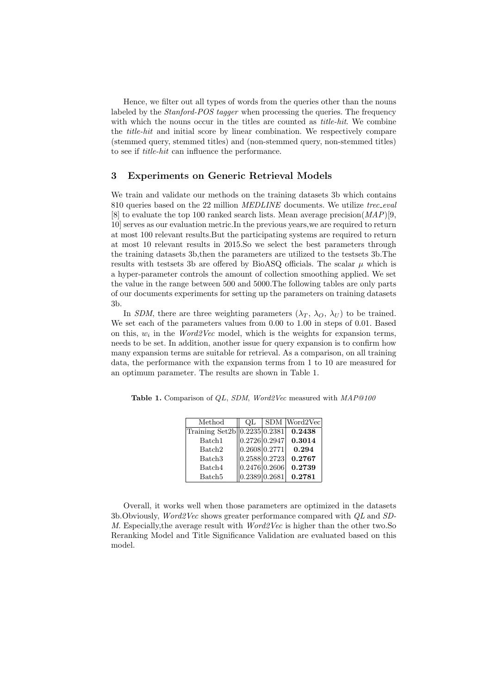Hence, we filter out all types of words from the queries other than the nouns labeled by the *Stanford-POS tagger* when processing the queries. The frequency with which the nouns occur in the titles are counted as *title-hit*. We combine the title-hit and initial score by linear combination. We respectively compare (stemmed query, stemmed titles) and (non-stemmed query, non-stemmed titles) to see if title-hit can influence the performance.

# 3 Experiments on Generic Retrieval Models

We train and validate our methods on the training datasets 3b which contains 810 queries based on the 22 million  $MEDLINE$  documents. We utilize  $tree\_eval$ [8] to evaluate the top 100 ranked search lists. Mean average precision( $MAP$ )[9, 10] serves as our evaluation metric.In the previous years,we are required to return at most 100 relevant results.But the participating systems are required to return at most 10 relevant results in 2015.So we select the best parameters through the training datasets 3b,then the parameters are utilized to the testsets 3b.The results with testsets 3b are offered by BioASQ officials. The scalar  $\mu$  which is a hyper-parameter controls the amount of collection smoothing applied. We set the value in the range between 500 and 5000.The following tables are only parts of our documents experiments for setting up the parameters on training datasets 3b.

In SDM, there are three weighting parameters  $(\lambda_T, \lambda_O, \lambda_U)$  to be trained. We set each of the parameters values from 0.00 to 1.00 in steps of 0.01. Based on this,  $w_i$  in the *Word2Vec* model, which is the weights for expansion terms, needs to be set. In addition, another issue for query expansion is to confirm how many expansion terms are suitable for retrieval. As a comparison, on all training data, the performance with the expansion terms from 1 to 10 are measured for an optimum parameter. The results are shown in Table 1.

| Method                        | ΩL            | SDM Word2Vec |
|-------------------------------|---------------|--------------|
| Training Set2b  0.2235 0.2381 |               | 0.2438       |
| Batch1                        | 0.2726 0.2947 | 0.3014       |
| Batch <sub>2</sub>            | 0.2608 0.2771 | 0.294        |
| Batch <sub>3</sub>            | 0.2588 0.2723 | 0.2767       |
| Batch4                        | 0.2476 0.2606 | 0.2739       |
| Batch <sub>5</sub>            | 0.2389 0.2681 | 0.2781       |
|                               |               |              |

Table 1. Comparison of QL, SDM, Word2Vec measured with MAP@100

Overall, it works well when those parameters are optimized in the datasets 3b.Obviously, Word2Vec shows greater performance compared with QL and SD-M. Especially,the average result with Word2Vec is higher than the other two.So Reranking Model and Title Significance Validation are evaluated based on this model.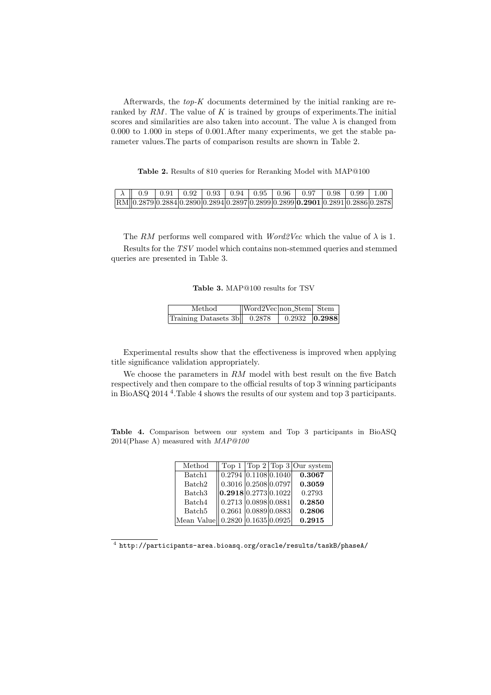Afterwards, the  $top-K$  documents determined by the initial ranking are reranked by  $RM$ . The value of  $K$  is trained by groups of experiments. The initial scores and similarities are also taken into account. The value  $\lambda$  is changed from 0.000 to 1.000 in steps of 0.001.After many experiments, we get the stable parameter values.The parts of comparison results are shown in Table 2.

Table 2. Results of 810 queries for Reranking Model with MAP@100

|  |  |  |  | $\parallel \lambda \parallel 0.9$   0.91   0.92   0.93   0.94   0.95   0.96   0.97   0.98   0.99   1.00                                                                                                       |  |  |
|--|--|--|--|---------------------------------------------------------------------------------------------------------------------------------------------------------------------------------------------------------------|--|--|
|  |  |  |  | $\frac{1}{2}$ RM $\frac{1}{2}$ 0.2879 $\frac{1}{2}$ 0.2884 $\frac{1}{2}$ 0.2894 $\frac{1}{2}$ 0.2897 $\frac{1}{2}$ 0.2899 $\frac{1}{2}$ 0.2901 $\frac{1}{2}$ 0.2891 $\frac{1}{2}$ 0.2886 $\frac{1}{2}$ 0.2878 |  |  |

The RM performs well compared with  $Word2Vec$  which the value of  $\lambda$  is 1. Results for the TSV model which contains non-stemmed queries and stemmed queries are presented in Table 3.

Table 3. MAP@100 results for TSV

| Method                        | $\sqrt{\frac{1}{2\text{Ver}}$ Nord 2Vec non-Stem Stem |                                                                                       |  |
|-------------------------------|-------------------------------------------------------|---------------------------------------------------------------------------------------|--|
| Training Datasets $3b$ 0.2878 |                                                       | $\begin{array}{ c c c c c c c c } \hline 0.2932 & \textbf{0.2988} \hline \end{array}$ |  |

Experimental results show that the effectiveness is improved when applying title significance validation appropriately.

We choose the parameters in RM model with best result on the five Batch respectively and then compare to the official results of top 3 winning participants in BioASQ 2014 <sup>4</sup> .Table 4 shows the results of our system and top 3 participants.

Table 4. Comparison between our system and Top 3 participants in BioASQ 2014(Phase A) measured with MAP@100

| Method                          |                            |  | Top $1   Top 2   Top 3   Our system$ |
|---------------------------------|----------------------------|--|--------------------------------------|
| Batch1                          | 0.2794   0.1108   0.1040   |  | 0.3067                               |
| Batch <sub>2</sub>              | $0.3016$ $0.2508$ $0.0797$ |  | 0.3059                               |
| Batch <sub>3</sub>              | 0.2918 0.2773 0.1022       |  | 0.2793                               |
| Batch4                          | 0.2713   0.0898   0.0881   |  | 0.2850                               |
| Batch <sub>5</sub>              | 0.2661   0.0889   0.0883   |  | 0.2806                               |
| Mean Value 0.2820 0.1635 0.0925 |                            |  | 0.2915                               |

 $^4$  http://participants-area.bioasq.org/oracle/results/taskB/phaseA/